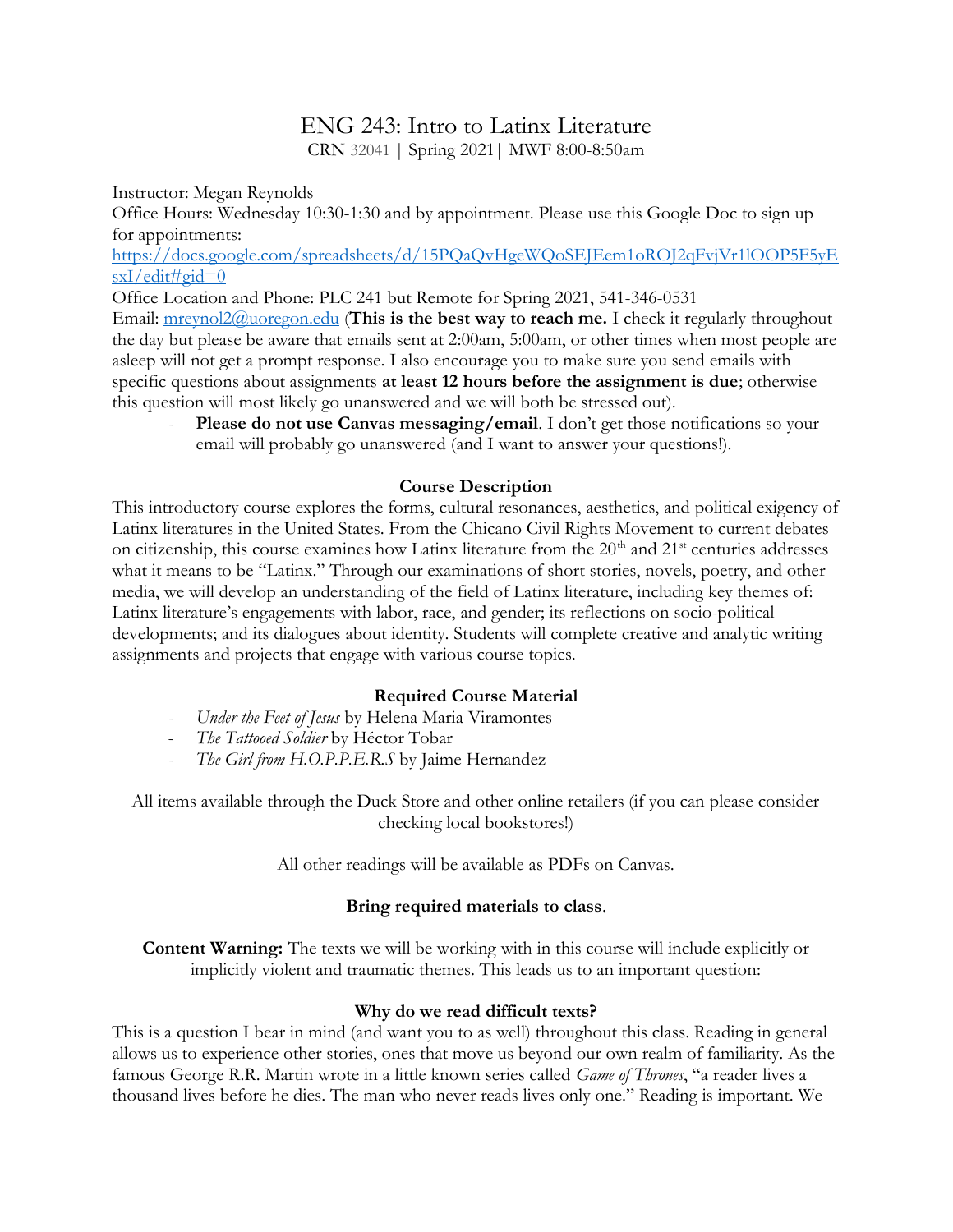# ENG 243: Intro to Latinx Literature

CRN 32041 | Spring 2021| MWF 8:00-8:50am

Instructor: Megan Reynolds

Office Hours: Wednesday 10:30-1:30 and by appointment. Please use this Google Doc to sign up for appointments:

https://docs.google.com/spreadsheets/d/15PQaQvHgeWQoSEJEem1oROJ2qFvjVr1lOOP5F5yE  $sxI/edit\#gid=0$ 

Office Location and Phone: PLC 241 but Remote for Spring 2021, 541-346-0531

Email: mreynol2@uoregon.edu (This is the best way to reach me. I check it regularly throughout the day but please be aware that emails sent at 2:00am, 5:00am, or other times when most people are asleep will not get a prompt response. I also encourage you to make sure you send emails with specific questions about assignments at least 12 hours before the assignment is due; otherwise this question will most likely go unanswered and we will both be stressed out).

Please do not use Canvas messaging/email. I don't get those notifications so your email will probably go unanswered (and I want to answer your questions!).

# Course Description

This introductory course explores the forms, cultural resonances, aesthetics, and political exigency of Latinx literatures in the United States. From the Chicano Civil Rights Movement to current debates on citizenship, this course examines how Latinx literature from the  $20<sup>th</sup>$  and  $21<sup>st</sup>$  centuries addresses what it means to be "Latinx." Through our examinations of short stories, novels, poetry, and other media, we will develop an understanding of the field of Latinx literature, including key themes of: Latinx literature's engagements with labor, race, and gender; its reflections on socio-political developments; and its dialogues about identity. Students will complete creative and analytic writing assignments and projects that engage with various course topics.

# Required Course Material

- Under the Feet of Jesus by Helena Maria Viramontes
- The Tattooed Soldier by Héctor Tobar
- The Girl from H.O.P.P.E.R.S by Jaime Hernandez

All items available through the Duck Store and other online retailers (if you can please consider checking local bookstores!)

All other readings will be available as PDFs on Canvas.

# Bring required materials to class.

Content Warning: The texts we will be working with in this course will include explicitly or implicitly violent and traumatic themes. This leads us to an important question:

# Why do we read difficult texts?

This is a question I bear in mind (and want you to as well) throughout this class. Reading in general allows us to experience other stories, ones that move us beyond our own realm of familiarity. As the famous George R.R. Martin wrote in a little known series called *Game of Thrones*, "a reader lives a thousand lives before he dies. The man who never reads lives only one." Reading is important. We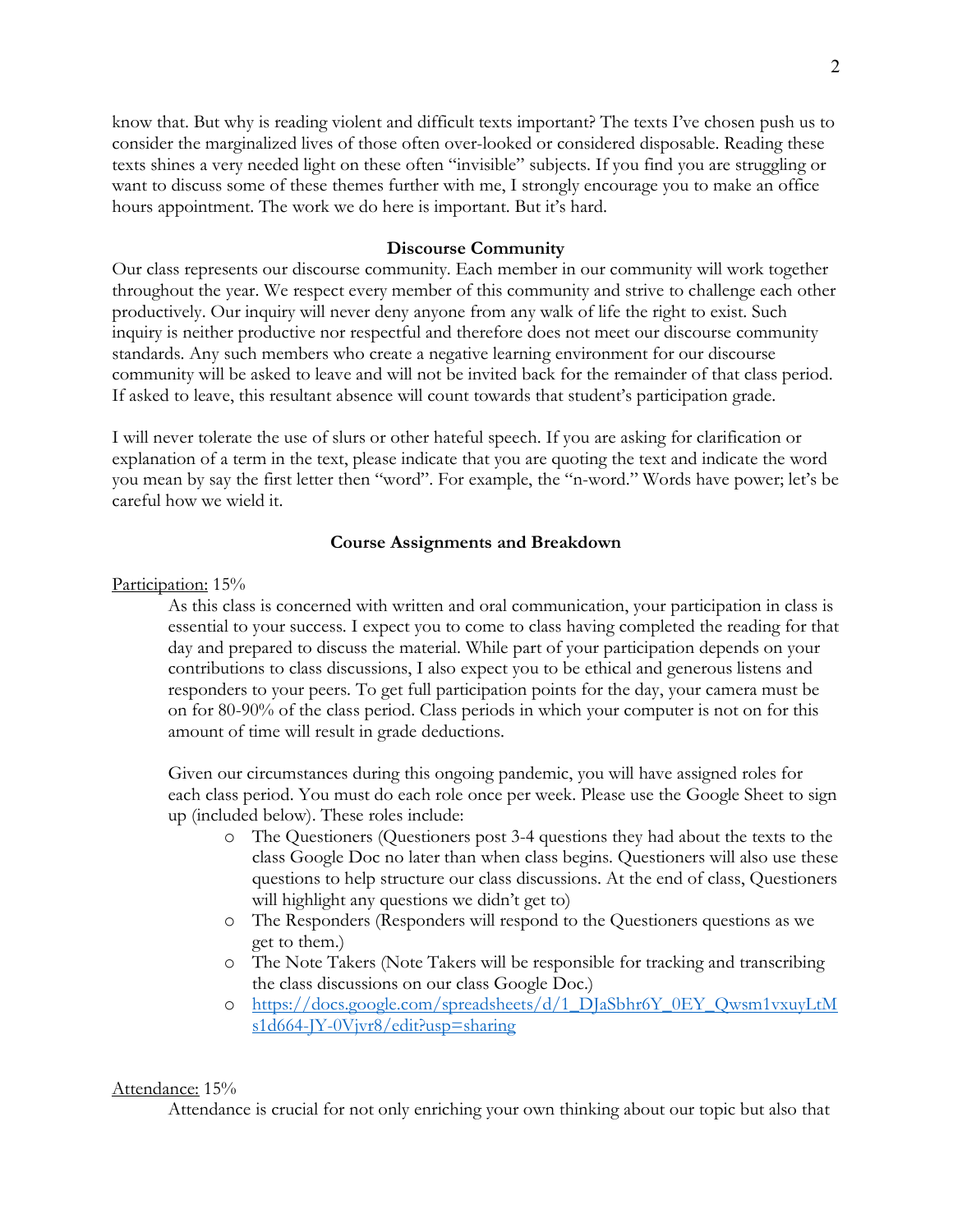know that. But why is reading violent and difficult texts important? The texts I've chosen push us to consider the marginalized lives of those often over-looked or considered disposable. Reading these texts shines a very needed light on these often "invisible" subjects. If you find you are struggling or want to discuss some of these themes further with me, I strongly encourage you to make an office hours appointment. The work we do here is important. But it's hard.

### Discourse Community

Our class represents our discourse community. Each member in our community will work together throughout the year. We respect every member of this community and strive to challenge each other productively. Our inquiry will never deny anyone from any walk of life the right to exist. Such inquiry is neither productive nor respectful and therefore does not meet our discourse community standards. Any such members who create a negative learning environment for our discourse community will be asked to leave and will not be invited back for the remainder of that class period. If asked to leave, this resultant absence will count towards that student's participation grade.

I will never tolerate the use of slurs or other hateful speech. If you are asking for clarification or explanation of a term in the text, please indicate that you are quoting the text and indicate the word you mean by say the first letter then "word". For example, the "n-word." Words have power; let's be careful how we wield it.

### Course Assignments and Breakdown

Participation: 15%

As this class is concerned with written and oral communication, your participation in class is essential to your success. I expect you to come to class having completed the reading for that day and prepared to discuss the material. While part of your participation depends on your contributions to class discussions, I also expect you to be ethical and generous listens and responders to your peers. To get full participation points for the day, your camera must be on for 80-90% of the class period. Class periods in which your computer is not on for this amount of time will result in grade deductions.

Given our circumstances during this ongoing pandemic, you will have assigned roles for each class period. You must do each role once per week. Please use the Google Sheet to sign up (included below). These roles include:

- o The Questioners (Questioners post 3-4 questions they had about the texts to the class Google Doc no later than when class begins. Questioners will also use these questions to help structure our class discussions. At the end of class, Questioners will highlight any questions we didn't get to)
- o The Responders (Responders will respond to the Questioners questions as we get to them.)
- o The Note Takers (Note Takers will be responsible for tracking and transcribing the class discussions on our class Google Doc.)
- o https://docs.google.com/spreadsheets/d/1\_DJaSbhr6Y\_0EY\_Qwsm1vxuyLtM s1d664-JY-0Vjvr8/edit?usp=sharing

#### Attendance: 15%

Attendance is crucial for not only enriching your own thinking about our topic but also that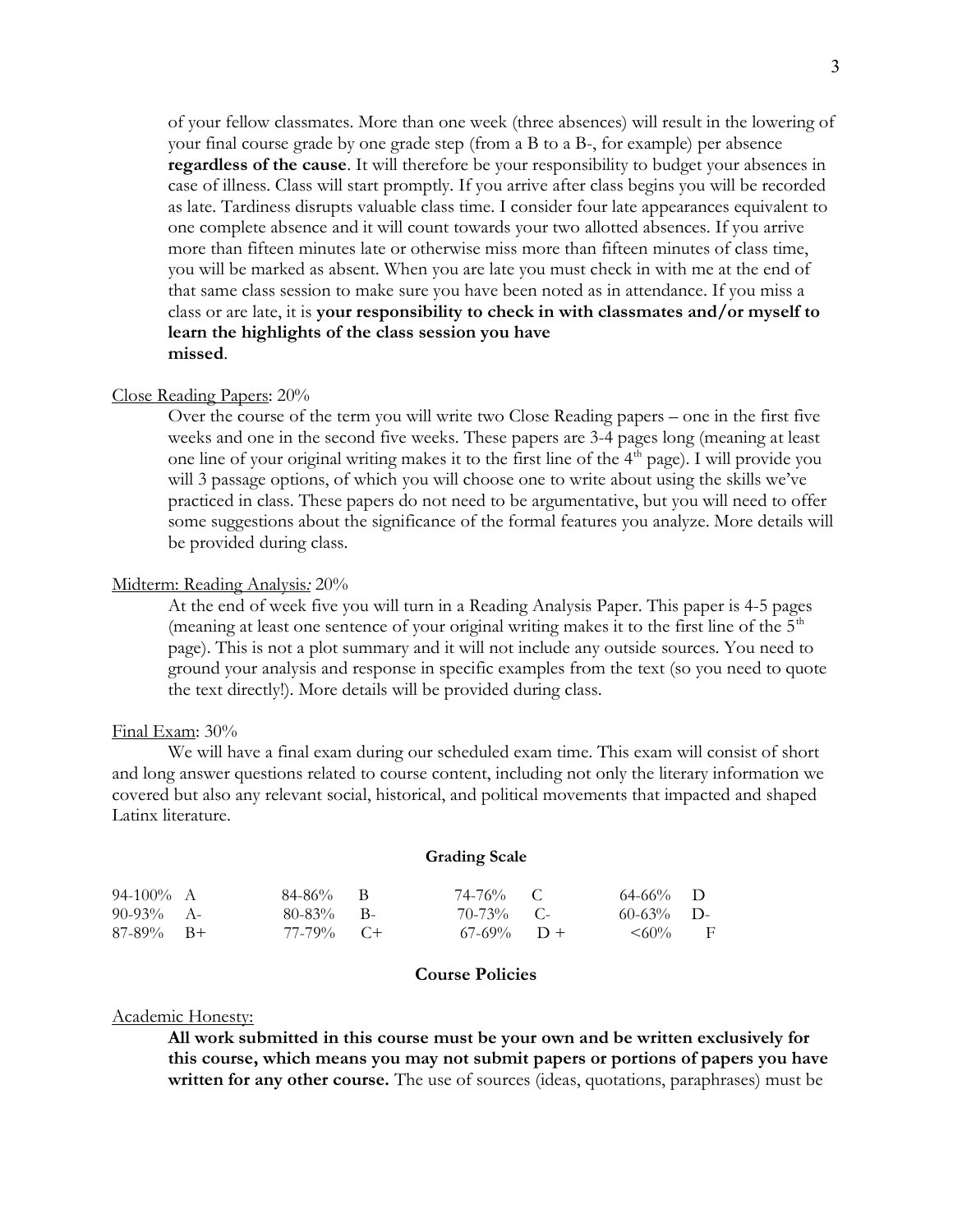of your fellow classmates. More than one week (three absences) will result in the lowering of your final course grade by one grade step (from a B to a B-, for example) per absence regardless of the cause. It will therefore be your responsibility to budget your absences in case of illness. Class will start promptly. If you arrive after class begins you will be recorded as late. Tardiness disrupts valuable class time. I consider four late appearances equivalent to one complete absence and it will count towards your two allotted absences. If you arrive more than fifteen minutes late or otherwise miss more than fifteen minutes of class time, you will be marked as absent. When you are late you must check in with me at the end of that same class session to make sure you have been noted as in attendance. If you miss a class or are late, it is your responsibility to check in with classmates and/or myself to learn the highlights of the class session you have missed.

#### Close Reading Papers: 20%

Over the course of the term you will write two Close Reading papers – one in the first five weeks and one in the second five weeks. These papers are 3-4 pages long (meaning at least one line of your original writing makes it to the first line of the  $4<sup>th</sup>$  page). I will provide you will 3 passage options, of which you will choose one to write about using the skills we've practiced in class. These papers do not need to be argumentative, but you will need to offer some suggestions about the significance of the formal features you analyze. More details will be provided during class.

#### Midterm: Reading Analysis: 20%

At the end of week five you will turn in a Reading Analysis Paper. This paper is 4-5 pages (meaning at least one sentence of your original writing makes it to the first line of the  $5<sup>th</sup>$ page). This is not a plot summary and it will not include any outside sources. You need to ground your analysis and response in specific examples from the text (so you need to quote the text directly!). More details will be provided during class.

#### Final Exam: 30%

 We will have a final exam during our scheduled exam time. This exam will consist of short and long answer questions related to course content, including not only the literary information we covered but also any relevant social, historical, and political movements that impacted and shaped Latinx literature.

#### Grading Scale

| 94-100% A    | $84-86\%$ B  | 74-76% C      | $64-66\%$ D   |  |
|--------------|--------------|---------------|---------------|--|
| 90-93% A-    | $80-83\%$ B- | $70-73\%$ C-  | $60-63%$ D-   |  |
| $87-89\%$ B+ | $77-79\%$ C+ | $67-69\%$ D + | $\leq 60\%$ F |  |

## Course Policies

#### Academic Honesty:

All work submitted in this course must be your own and be written exclusively for this course, which means you may not submit papers or portions of papers you have written for any other course. The use of sources (ideas, quotations, paraphrases) must be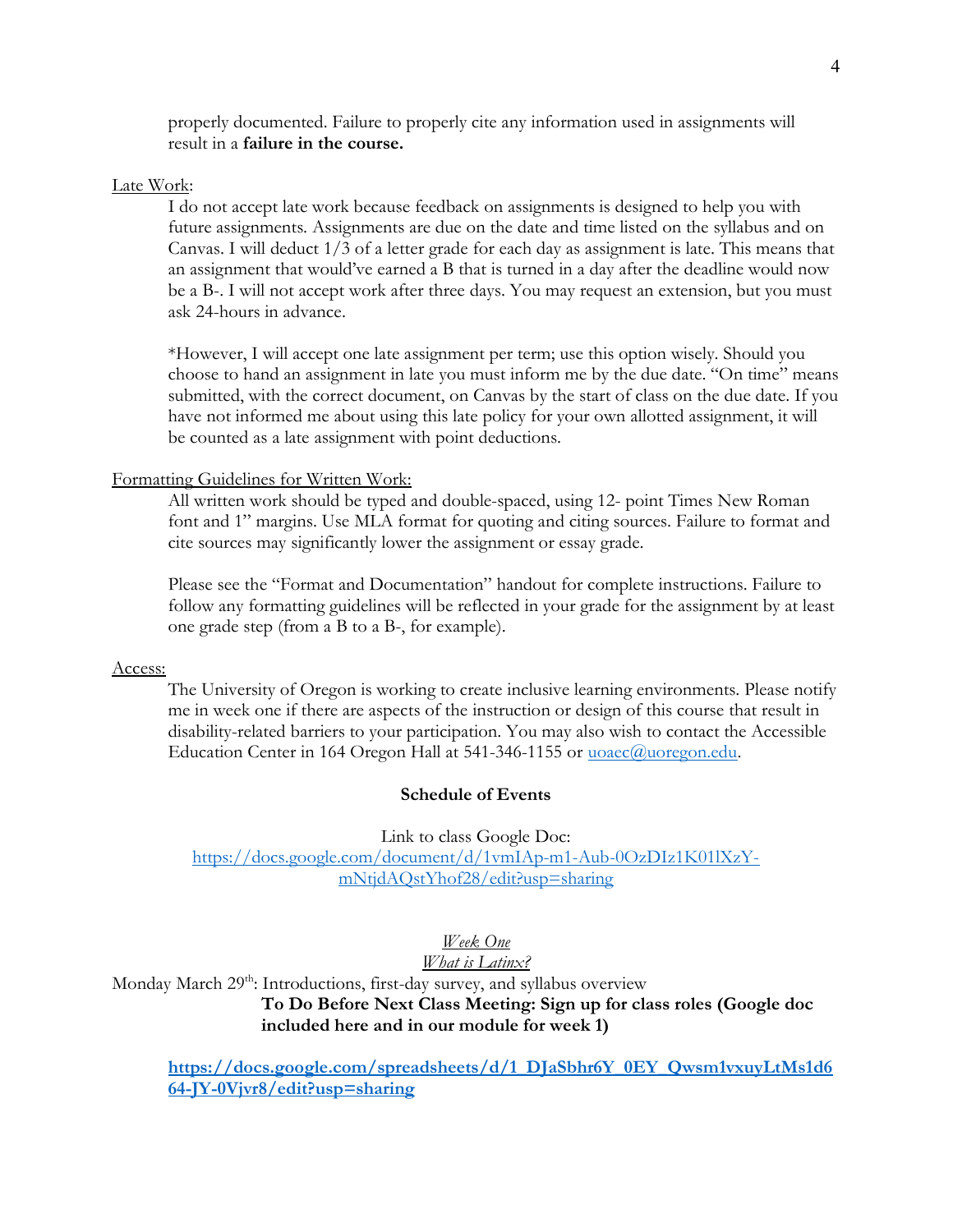properly documented. Failure to properly cite any information used in assignments will result in a failure in the course.

#### Late Work:

I do not accept late work because feedback on assignments is designed to help you with future assignments. Assignments are due on the date and time listed on the syllabus and on Canvas. I will deduct 1/3 of a letter grade for each day as assignment is late. This means that an assignment that would've earned a B that is turned in a day after the deadline would now be a B-. I will not accept work after three days. You may request an extension, but you must ask 24-hours in advance.

\*However, I will accept one late assignment per term; use this option wisely. Should you choose to hand an assignment in late you must inform me by the due date. "On time" means submitted, with the correct document, on Canvas by the start of class on the due date. If you have not informed me about using this late policy for your own allotted assignment, it will be counted as a late assignment with point deductions.

## Formatting Guidelines for Written Work:

All written work should be typed and double-spaced, using 12- point Times New Roman font and 1" margins. Use MLA format for quoting and citing sources. Failure to format and cite sources may significantly lower the assignment or essay grade.

Please see the "Format and Documentation" handout for complete instructions. Failure to follow any formatting guidelines will be reflected in your grade for the assignment by at least one grade step (from a B to a B-, for example).

#### Access:

The University of Oregon is working to create inclusive learning environments. Please notify me in week one if there are aspects of the instruction or design of this course that result in disability-related barriers to your participation. You may also wish to contact the Accessible Education Center in 164 Oregon Hall at 541-346-1155 or uoaec@uoregon.edu.

## Schedule of Events

Link to class Google Doc:

https://docs.google.com/document/d/1vmIAp-m1-Aub-0OzDIz1K01lXzYmNtjdAQstYhof28/edit?usp=sharing

Week One

What is Latinx?

Monday March 29<sup>th</sup>: Introductions, first-day survey, and syllabus overview To Do Before Next Class Meeting: Sign up for class roles (Google doc included here and in our module for week 1)

https://docs.google.com/spreadsheets/d/1\_DJaSbhr6Y\_0EY\_Qwsm1vxuyLtMs1d6 64-JY-0Vjvr8/edit?usp=sharing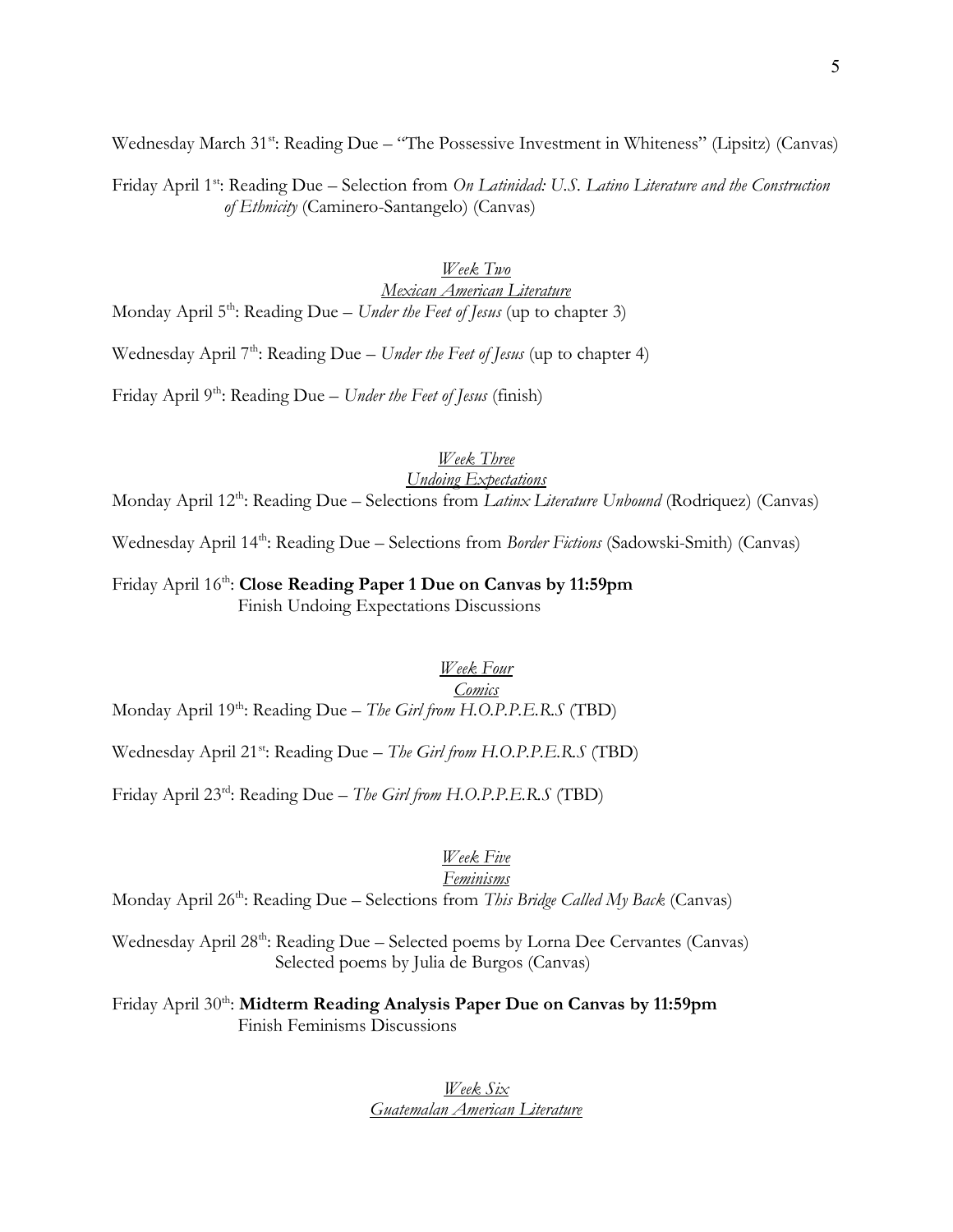Wednesday March 31<sup>st</sup>: Reading Due – "The Possessive Investment in Whiteness" (Lipsitz) (Canvas)

Friday April 1<sup>st</sup>: Reading Due – Selection from On Latinidad: U.S. Latino Literature and the Construction of Ethnicity (Caminero-Santangelo) (Canvas)

## Week Two Mexican American Literature Monday April  $5<sup>th</sup>$ : Reading Due – Under the Feet of Jesus (up to chapter 3)

Wednesday April  $7<sup>th</sup>$ : Reading Due – Under the Feet of Jesus (up to chapter 4)

Friday April  $9^{th}$ : Reading Due – Under the Feet of Jesus (finish)

## Week Three

# Undoing Expectations

Monday April 12<sup>th</sup>: Reading Due – Selections from Latinx Literature Unbound (Rodriquez) (Canvas)

Wednesday April 14<sup>th</sup>: Reading Due – Selections from *Border Fictions* (Sadowski-Smith) (Canvas)

Friday April 16<sup>th</sup>: Close Reading Paper 1 Due on Canvas by 11:59pm Finish Undoing Expectations Discussions

Week Four

# Comics

Monday April  $19^{th}$ : Reading Due – The Girl from H.O.P.P.E.R.S (TBD)

Wednesday April 21<sup>st</sup>: Reading Due – The Girl from H.O.P.P.E.R.S (TBD)

Friday April 23<sup>rd</sup>: Reading Due – The Girl from H.O.P.P.E.R.S (TBD)

# Week Five

## Feminisms

Monday April  $26^{th}$ : Reading Due – Selections from This Bridge Called My Back (Canvas)

Wednesday April 28<sup>th</sup>: Reading Due – Selected poems by Lorna Dee Cervantes (Canvas) Selected poems by Julia de Burgos (Canvas)

Friday April 30<sup>th</sup>: Midterm Reading Analysis Paper Due on Canvas by 11:59pm Finish Feminisms Discussions

## Week Six Guatemalan American Literature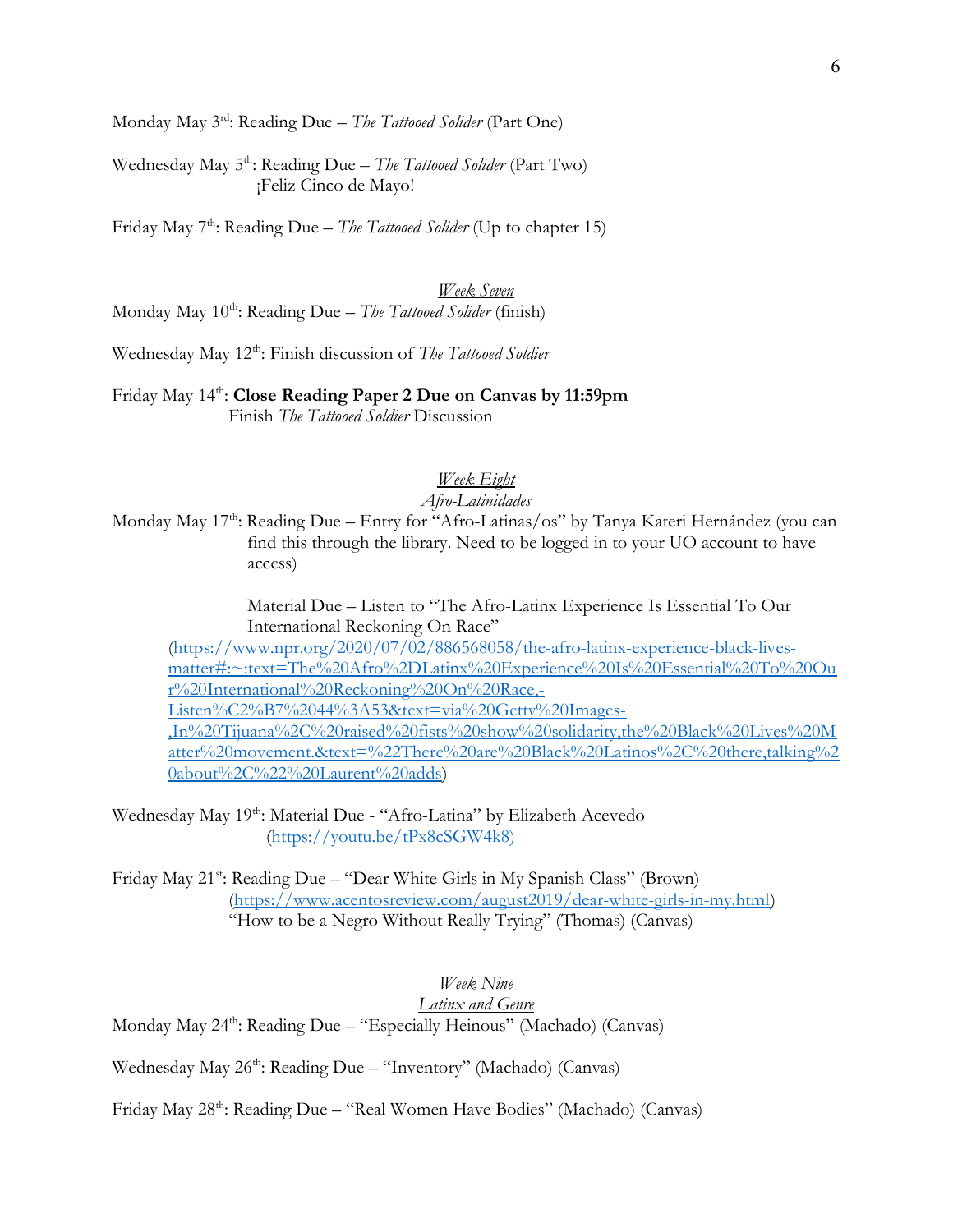Monday May  $3^{rd}$ : Reading Due – The Tattooed Solider (Part One)

Wednesday May  $5<sup>th</sup>$ : Reading Due – The Tattooed Solider (Part Two) ¡Feliz Cinco de Mayo!

Friday May  $7<sup>th</sup>$ : Reading Due – The Tattooed Solider (Up to chapter 15)

Week Seven Monday May  $10^{th}$ : Reading Due – The Tattooed Solider (finish)

Wednesday May 12<sup>th</sup>: Finish discussion of The Tattooed Soldier

## Friday May 14<sup>th</sup>: Close Reading Paper 2 Due on Canvas by 11:59pm Finish The Tattooed Soldier Discussion

## Week Eight

# Afro-Latinidades

Monday May 17<sup>th</sup>: Reading Due – Entry for "Afro-Latinas/os" by Tanya Kateri Hernández (you can find this through the library. Need to be logged in to your UO account to have access)

> Material Due – Listen to "The Afro-Latinx Experience Is Essential To Our International Reckoning On Race"

(https://www.npr.org/2020/07/02/886568058/the-afro-latinx-experience-black-livesmatter#:~:text=The%20Afro%2DLatinx%20Experience%20Is%20Essential%20To%20Ou r%20International%20Reckoning%20On%20Race,- Listen%C2%B7%2044%3A53&text=via%20Getty%20Images-

,In%20Tijuana%2C%20raised%20fists%20show%20solidarity,the%20Black%20Lives%20M atter%20movement.&text=%22There%20are%20Black%20Latinos%2C%20there,talking%2 0about%2C%22%20Laurent%20adds)

Wednesday May 19<sup>th</sup>: Material Due - "Afro-Latina" by Elizabeth Acevedo (https://youtu.be/tPx8cSGW4k8)

Friday May 21<sup>st</sup>: Reading Due – "Dear White Girls in My Spanish Class" (Brown) (https://www.acentosreview.com/august2019/dear-white-girls-in-my.html) "How to be a Negro Without Really Trying" (Thomas) (Canvas)

## Week Nine Latinx and Genre

Monday May 24<sup>th</sup>: Reading Due – "Especially Heinous" (Machado) (Canvas)

Wednesday May 26<sup>th</sup>: Reading Due – "Inventory" (Machado) (Canvas)

Friday May 28th: Reading Due – "Real Women Have Bodies" (Machado) (Canvas)